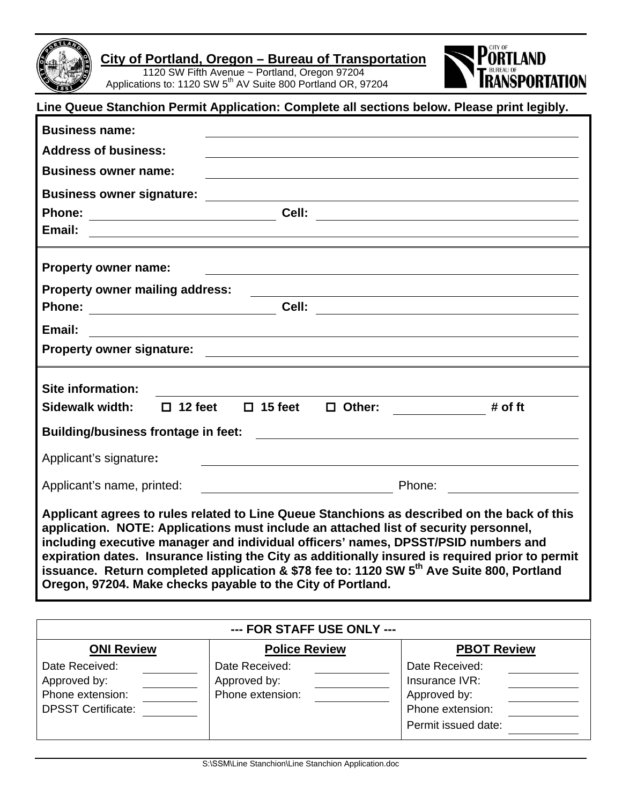

 1120 SW Fifth Avenue ~ Portland, Oregon 97204 Applications to: 1120 SW 5<sup>th</sup> AV Suite 800 Portland OR, 97204



| Line Queue Stanchion Permit Application: Complete all sections below. Please print legibly.                                                                                                                                                                                                                                                                                                                                                                                                                                                           |                            |  |
|-------------------------------------------------------------------------------------------------------------------------------------------------------------------------------------------------------------------------------------------------------------------------------------------------------------------------------------------------------------------------------------------------------------------------------------------------------------------------------------------------------------------------------------------------------|----------------------------|--|
| <b>Business name:</b>                                                                                                                                                                                                                                                                                                                                                                                                                                                                                                                                 |                            |  |
| <b>Address of business:</b>                                                                                                                                                                                                                                                                                                                                                                                                                                                                                                                           |                            |  |
| <b>Business owner name:</b>                                                                                                                                                                                                                                                                                                                                                                                                                                                                                                                           |                            |  |
| <b>Business owner signature:</b>                                                                                                                                                                                                                                                                                                                                                                                                                                                                                                                      |                            |  |
|                                                                                                                                                                                                                                                                                                                                                                                                                                                                                                                                                       |                            |  |
| <u> 1980 - Andrea Andrewski, amerikansk politik (d. 1980)</u>                                                                                                                                                                                                                                                                                                                                                                                                                                                                                         | Email:                     |  |
| <b>Property owner name:</b><br><u> 1989 - Johann Stein, fransk politik (d. 1989)</u>                                                                                                                                                                                                                                                                                                                                                                                                                                                                  |                            |  |
| <b>Property owner mailing address:</b><br><u> 1980 - Johann Stoff, fransk politik (f. 1980)</u>                                                                                                                                                                                                                                                                                                                                                                                                                                                       |                            |  |
| Phone: _________________________________Cell: __________________________________                                                                                                                                                                                                                                                                                                                                                                                                                                                                      |                            |  |
| Email:<br><u> 1980 - Johann Barbara, martxa amerikan bashkar (</u>                                                                                                                                                                                                                                                                                                                                                                                                                                                                                    |                            |  |
|                                                                                                                                                                                                                                                                                                                                                                                                                                                                                                                                                       |                            |  |
|                                                                                                                                                                                                                                                                                                                                                                                                                                                                                                                                                       | Site information:          |  |
| $\Box$ 12 feet<br>$\Box$ 15 feet<br>$\Box$ Other: _____________<br># of $ft$                                                                                                                                                                                                                                                                                                                                                                                                                                                                          | Sidewalk width:            |  |
| <b>Building/business frontage in feet:</b><br><u> 1980 - Jan Samuel Barbara, margaret e populari e populari e populari e populari e populari e populari e popu</u>                                                                                                                                                                                                                                                                                                                                                                                    |                            |  |
| Applicant's signature:<br><u> 1980 - Johann Barbara, martxa alemaniar argametar a martxa a shekara a shekara a shekara a shekara a shekara</u>                                                                                                                                                                                                                                                                                                                                                                                                        |                            |  |
|                                                                                                                                                                                                                                                                                                                                                                                                                                                                                                                                                       | Applicant's name, printed: |  |
| Applicant agrees to rules related to Line Queue Stanchions as described on the back of this<br>application. NOTE: Applications must include an attached list of security personnel,<br>including executive manager and individual officers' names, DPSST/PSID numbers and<br>expiration dates. Insurance listing the City as additionally insured is required prior to permit<br>issuance. Return completed application & \$78 fee to: 1120 SW 5 <sup>th</sup> Ave Suite 800, Portland<br>Oregon, 97204. Make checks payable to the City of Portland. |                            |  |

| --- FOR STAFF USE ONLY ---                                                      |                                                    |                                                                                             |  |
|---------------------------------------------------------------------------------|----------------------------------------------------|---------------------------------------------------------------------------------------------|--|
| <b>ONI Review</b>                                                               | <b>Police Review</b>                               | <b>PBOT Review</b>                                                                          |  |
| Date Received:<br>Approved by:<br>Phone extension:<br><b>DPSST Certificate:</b> | Date Received:<br>Approved by:<br>Phone extension: | Date Received:<br>Insurance IVR:<br>Approved by:<br>Phone extension:<br>Permit issued date: |  |